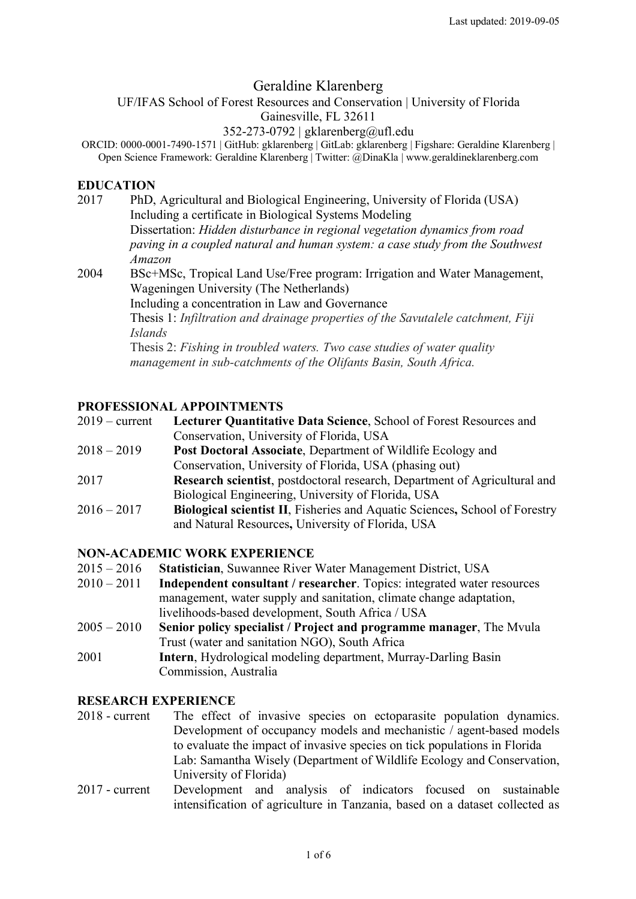# Geraldine Klarenberg

#### UF/IFAS School of Forest Resources and Conservation | University of Florida Gainesville, FL 32611

#### 352-273-0792 | gklarenberg@ufl.edu

ORCID: 0000-0001-7490-1571 | GitHub: gklarenberg | GitLab: gklarenberg | Figshare: Geraldine Klarenberg | Open Science Framework: Geraldine Klarenberg | Twitter: @DinaKla | www.geraldineklarenberg.com

#### **EDUCATION**

- 2017 PhD, Agricultural and Biological Engineering, University of Florida (USA) Including a certificate in Biological Systems Modeling Dissertation: *Hidden disturbance in regional vegetation dynamics from road paving in a coupled natural and human system: a case study from the Southwest Amazon* 2004 BSc+MSc, Tropical Land Use/Free program: Irrigation and Water Management,
- Wageningen University (The Netherlands) Including a concentration in Law and Governance

Thesis 1: *Infiltration and drainage properties of the Savutalele catchment, Fiji Islands*

Thesis 2: *Fishing in troubled waters. Two case studies of water quality management in sub-catchments of the Olifants Basin, South Africa.*

# **PROFESSIONAL APPOINTMENTS**

| $2019 - current$ | Lecturer Quantitative Data Science, School of Forest Resources and          |
|------------------|-----------------------------------------------------------------------------|
|                  | Conservation, University of Florida, USA                                    |
| $2018 - 2019$    | <b>Post Doctoral Associate, Department of Wildlife Ecology and</b>          |
|                  | Conservation, University of Florida, USA (phasing out)                      |
| 2017             | Research scientist, postdoctoral research, Department of Agricultural and   |
|                  | Biological Engineering, University of Florida, USA                          |
| $2016 - 2017$    | Biological scientist II, Fisheries and Aquatic Sciences, School of Forestry |
|                  | and Natural Resources, University of Florida, USA                           |

# **NON-ACADEMIC WORK EXPERIENCE**

- 2015 2016 **Statistician**, Suwannee River Water Management District, USA
- 2010 2011 **Independent consultant / researcher**. Topics: integrated water resources management, water supply and sanitation, climate change adaptation, livelihoods-based development, South Africa / USA
- 2005 2010 **Senior policy specialist / Project and programme manager**, The Mvula Trust (water and sanitation NGO), South Africa
- 2001 **Intern**, Hydrological modeling department, Murray-Darling Basin Commission, Australia

# **RESEARCH EXPERIENCE**

- 2018 current The effect of invasive species on ectoparasite population dynamics. Development of occupancy models and mechanistic / agent-based models to evaluate the impact of invasive species on tick populations in Florida Lab: Samantha Wisely (Department of Wildlife Ecology and Conservation, University of Florida)
- 2017 current Development and analysis of indicators focused on sustainable intensification of agriculture in Tanzania, based on a dataset collected as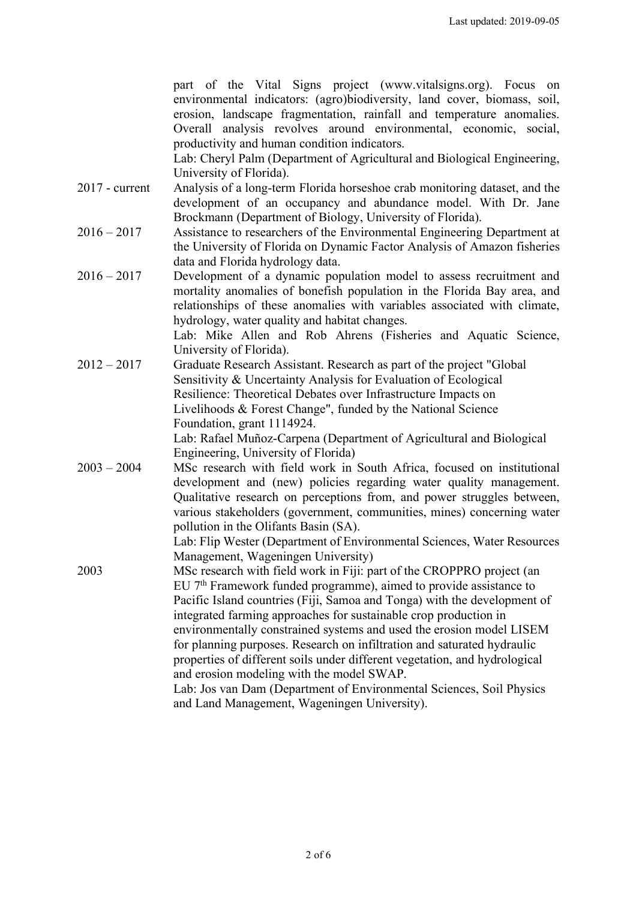|                  | part of the Vital Signs project (www.vitalsigns.org). Focus on                 |  |  |  |  |
|------------------|--------------------------------------------------------------------------------|--|--|--|--|
|                  | environmental indicators: (agro)biodiversity, land cover, biomass, soil,       |  |  |  |  |
|                  | erosion, landscape fragmentation, rainfall and temperature anomalies.          |  |  |  |  |
|                  | Overall analysis revolves around environmental, economic, social,              |  |  |  |  |
|                  | productivity and human condition indicators.                                   |  |  |  |  |
|                  | Lab: Cheryl Palm (Department of Agricultural and Biological Engineering,       |  |  |  |  |
|                  | University of Florida).                                                        |  |  |  |  |
| $2017$ - current | Analysis of a long-term Florida horseshoe crab monitoring dataset, and the     |  |  |  |  |
|                  |                                                                                |  |  |  |  |
|                  | development of an occupancy and abundance model. With Dr. Jane                 |  |  |  |  |
|                  | Brockmann (Department of Biology, University of Florida).                      |  |  |  |  |
| $2016 - 2017$    | Assistance to researchers of the Environmental Engineering Department at       |  |  |  |  |
|                  | the University of Florida on Dynamic Factor Analysis of Amazon fisheries       |  |  |  |  |
|                  | data and Florida hydrology data.                                               |  |  |  |  |
| $2016 - 2017$    | Development of a dynamic population model to assess recruitment and            |  |  |  |  |
|                  | mortality anomalies of bonefish population in the Florida Bay area, and        |  |  |  |  |
|                  | relationships of these anomalies with variables associated with climate,       |  |  |  |  |
|                  | hydrology, water quality and habitat changes.                                  |  |  |  |  |
|                  | Lab: Mike Allen and Rob Ahrens (Fisheries and Aquatic Science,                 |  |  |  |  |
|                  | University of Florida).                                                        |  |  |  |  |
| $2012 - 2017$    | Graduate Research Assistant. Research as part of the project "Global           |  |  |  |  |
|                  | Sensitivity & Uncertainty Analysis for Evaluation of Ecological                |  |  |  |  |
|                  | Resilience: Theoretical Debates over Infrastructure Impacts on                 |  |  |  |  |
|                  | Livelihoods & Forest Change", funded by the National Science                   |  |  |  |  |
|                  | Foundation, grant 1114924.                                                     |  |  |  |  |
|                  | Lab: Rafael Muñoz-Carpena (Department of Agricultural and Biological           |  |  |  |  |
|                  | Engineering, University of Florida)                                            |  |  |  |  |
| $2003 - 2004$    | MSc research with field work in South Africa, focused on institutional         |  |  |  |  |
|                  | development and (new) policies regarding water quality management.             |  |  |  |  |
|                  | Qualitative research on perceptions from, and power struggles between,         |  |  |  |  |
|                  | various stakeholders (government, communities, mines) concerning water         |  |  |  |  |
|                  | pollution in the Olifants Basin (SA).                                          |  |  |  |  |
|                  | Lab: Flip Wester (Department of Environmental Sciences, Water Resources        |  |  |  |  |
|                  | Management, Wageningen University)                                             |  |  |  |  |
| 2003             | MSc research with field work in Fiji: part of the CROPPRO project (an          |  |  |  |  |
|                  | EU 7 <sup>th</sup> Framework funded programme), aimed to provide assistance to |  |  |  |  |
|                  | Pacific Island countries (Fiji, Samoa and Tonga) with the development of       |  |  |  |  |
|                  | integrated farming approaches for sustainable crop production in               |  |  |  |  |
|                  |                                                                                |  |  |  |  |
|                  | environmentally constrained systems and used the erosion model LISEM           |  |  |  |  |
|                  | for planning purposes. Research on infiltration and saturated hydraulic        |  |  |  |  |
|                  | properties of different soils under different vegetation, and hydrological     |  |  |  |  |
|                  | and erosion modeling with the model SWAP.                                      |  |  |  |  |
|                  | Lab: Jos van Dam (Department of Environmental Sciences, Soil Physics           |  |  |  |  |
|                  | and Land Management, Wageningen University).                                   |  |  |  |  |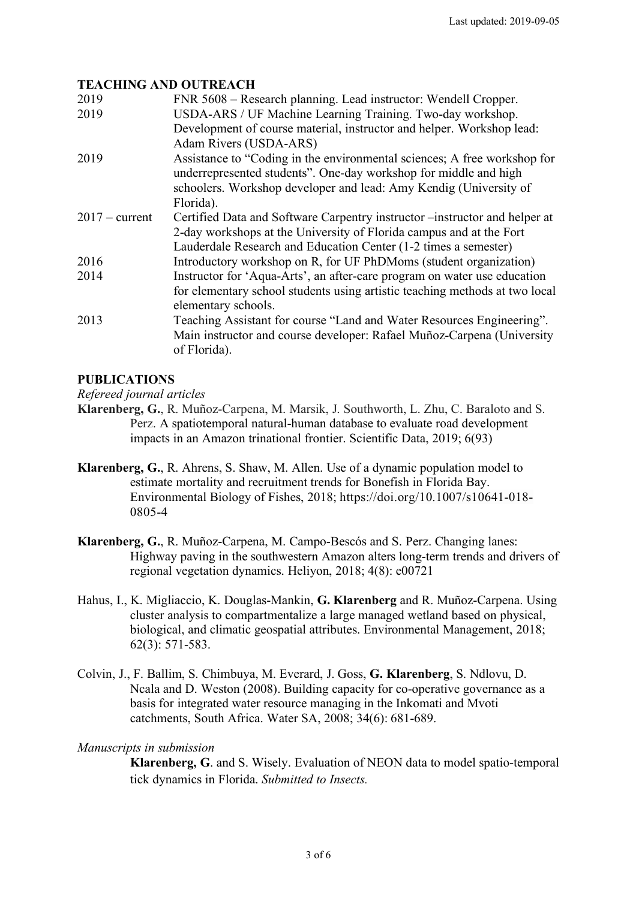#### **TEACHING AND OUTREACH**

| FNR 5608 – Research planning. Lead instructor: Wendell Cropper.                                                                              |
|----------------------------------------------------------------------------------------------------------------------------------------------|
| USDA-ARS / UF Machine Learning Training. Two-day workshop.<br>Development of course material, instructor and helper. Workshop lead:          |
| Adam Rivers (USDA-ARS)                                                                                                                       |
| Assistance to "Coding in the environmental sciences; A free workshop for<br>underrepresented students". One-day workshop for middle and high |
| schoolers. Workshop developer and lead: Amy Kendig (University of                                                                            |
| Florida).                                                                                                                                    |
| Certified Data and Software Carpentry instructor – instructor and helper at                                                                  |
| 2-day workshops at the University of Florida campus and at the Fort                                                                          |
| Lauderdale Research and Education Center (1-2 times a semester)                                                                              |
| Introductory workshop on R, for UF PhDMoms (student organization)                                                                            |
| Instructor for 'Aqua-Arts', an after-care program on water use education                                                                     |
| for elementary school students using artistic teaching methods at two local                                                                  |
| elementary schools.                                                                                                                          |
| Teaching Assistant for course "Land and Water Resources Engineering".                                                                        |
| Main instructor and course developer: Rafael Muñoz-Carpena (University<br>of Florida).                                                       |
|                                                                                                                                              |

# **PUBLICATIONS**

*Refereed journal articles*

- **Klarenberg, G.**, R. Muñoz-Carpena, M. Marsik, J. Southworth, L. Zhu, C. Baraloto and S. Perz. A spatiotemporal natural-human database to evaluate road development impacts in an Amazon trinational frontier. Scientific Data, 2019; 6(93)
- **Klarenberg, G.**, R. Ahrens, S. Shaw, M. Allen. Use of a dynamic population model to estimate mortality and recruitment trends for Bonefish in Florida Bay. Environmental Biology of Fishes, 2018; https://doi.org/10.1007/s10641-018- 0805-4
- **Klarenberg, G.**, R. Muñoz-Carpena, M. Campo-Bescós and S. Perz. Changing lanes: Highway paving in the southwestern Amazon alters long-term trends and drivers of regional vegetation dynamics. Heliyon, 2018; 4(8): e00721
- Hahus, I., K. Migliaccio, K. Douglas-Mankin, **G. Klarenberg** and R. Muñoz-Carpena. Using cluster analysis to compartmentalize a large managed wetland based on physical, biological, and climatic geospatial attributes. Environmental Management, 2018; 62(3): 571-583.
- Colvin, J., F. Ballim, S. Chimbuya, M. Everard, J. Goss, **G. Klarenberg**, S. Ndlovu, D. Ncala and D. Weston (2008). Building capacity for co-operative governance as a basis for integrated water resource managing in the Inkomati and Mvoti catchments, South Africa. Water SA, 2008; 34(6): 681-689.

#### *Manuscripts in submission*

**Klarenberg, G**. and S. Wisely. Evaluation of NEON data to model spatio-temporal tick dynamics in Florida. *Submitted to Insects.*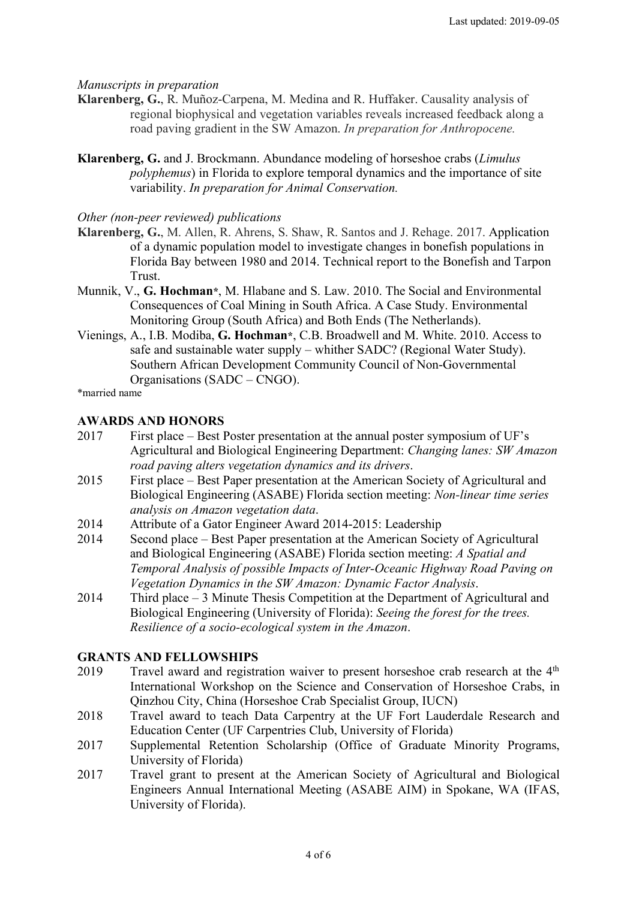#### *Manuscripts in preparation*

- **Klarenberg, G.**, R. Muñoz-Carpena, M. Medina and R. Huffaker. Causality analysis of regional biophysical and vegetation variables reveals increased feedback along a road paving gradient in the SW Amazon. *In preparation for Anthropocene.*
- **Klarenberg, G.** and J. Brockmann. Abundance modeling of horseshoe crabs (*Limulus polyphemus*) in Florida to explore temporal dynamics and the importance of site variability. *In preparation for Animal Conservation.*

#### *Other (non-peer reviewed) publications*

- **Klarenberg, G.**, M. Allen, R. Ahrens, S. Shaw, R. Santos and J. Rehage. 2017. Application of a dynamic population model to investigate changes in bonefish populations in Florida Bay between 1980 and 2014. Technical report to the Bonefish and Tarpon Trust.
- Munnik, V., **G. Hochman\***, M. Hlabane and S. Law. 2010. The Social and Environmental Consequences of Coal Mining in South Africa. A Case Study. Environmental Monitoring Group (South Africa) and Both Ends (The Netherlands).
- Vienings, A., I.B. Modiba, **G. Hochman\***, C.B. Broadwell and M. White. 2010. Access to safe and sustainable water supply – whither SADC? (Regional Water Study). Southern African Development Community Council of Non-Governmental Organisations (SADC – CNGO).

\*married name

# **AWARDS AND HONORS**

- 2017 First place Best Poster presentation at the annual poster symposium of UF's Agricultural and Biological Engineering Department: *Changing lanes: SW Amazon road paving alters vegetation dynamics and its drivers*.
- 2015 First place Best Paper presentation at the American Society of Agricultural and Biological Engineering (ASABE) Florida section meeting: *Non-linear time series analysis on Amazon vegetation data*.
- 2014 Attribute of a Gator Engineer Award 2014-2015: Leadership
- 2014 Second place Best Paper presentation at the American Society of Agricultural and Biological Engineering (ASABE) Florida section meeting: *A Spatial and Temporal Analysis of possible Impacts of Inter-Oceanic Highway Road Paving on Vegetation Dynamics in the SW Amazon: Dynamic Factor Analysis*.
- 2014 Third place 3 Minute Thesis Competition at the Department of Agricultural and Biological Engineering (University of Florida): *Seeing the forest for the trees. Resilience of a socio-ecological system in the Amazon*.

# **GRANTS AND FELLOWSHIPS**

- 2019 Travel award and registration waiver to present horseshoe crab research at the 4<sup>th</sup> International Workshop on the Science and Conservation of Horseshoe Crabs, in Qinzhou City, China (Horseshoe Crab Specialist Group, IUCN)
- 2018 Travel award to teach Data Carpentry at the UF Fort Lauderdale Research and Education Center (UF Carpentries Club, University of Florida)
- 2017 Supplemental Retention Scholarship (Office of Graduate Minority Programs, University of Florida)
- 2017 Travel grant to present at the American Society of Agricultural and Biological Engineers Annual International Meeting (ASABE AIM) in Spokane, WA (IFAS, University of Florida).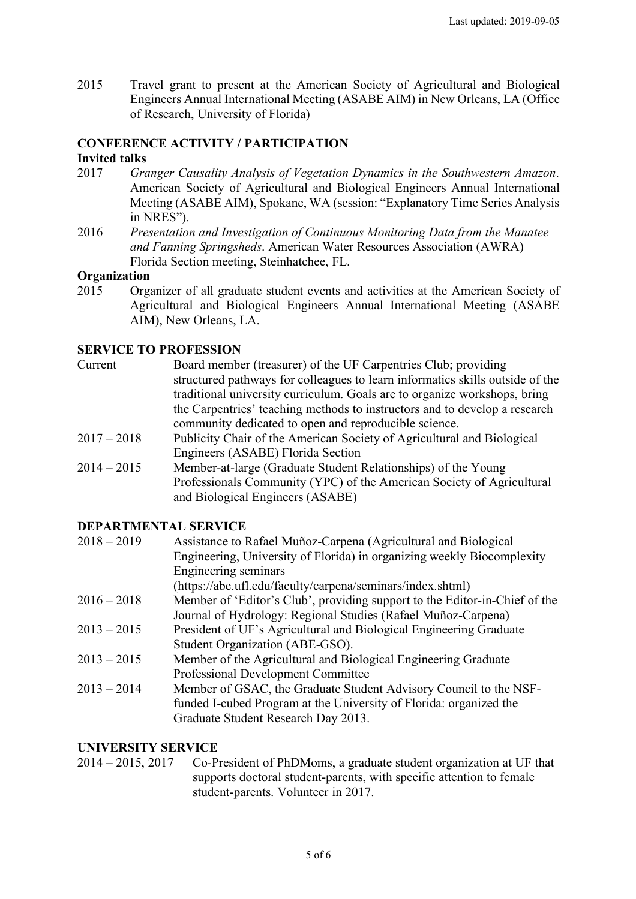2015 Travel grant to present at the American Society of Agricultural and Biological Engineers Annual International Meeting (ASABE AIM) in New Orleans, LA (Office of Research, University of Florida)

#### **CONFERENCE ACTIVITY / PARTICIPATION Invited talks**

- 2017 *Granger Causality Analysis of Vegetation Dynamics in the Southwestern Amazon*. American Society of Agricultural and Biological Engineers Annual International Meeting (ASABE AIM), Spokane, WA (session: "Explanatory Time Series Analysis in NRES").
- 2016 *Presentation and Investigation of Continuous Monitoring Data from the Manatee and Fanning Springsheds*. American Water Resources Association (AWRA) Florida Section meeting, Steinhatchee, FL.

#### **Organization**

2015 Organizer of all graduate student events and activities at the American Society of Agricultural and Biological Engineers Annual International Meeting (ASABE AIM), New Orleans, LA.

# **SERVICE TO PROFESSION**

| Current       | Board member (treasurer) of the UF Carpentries Club; providing                |
|---------------|-------------------------------------------------------------------------------|
|               | structured pathways for colleagues to learn informatics skills outside of the |
|               | traditional university curriculum. Goals are to organize workshops, bring     |
|               | the Carpentries' teaching methods to instructors and to develop a research    |
|               | community dedicated to open and reproducible science.                         |
| $2017 - 2018$ | Publicity Chair of the American Society of Agricultural and Biological        |
|               | Engineers (ASABE) Florida Section                                             |
| $2014 - 2015$ | Member-at-large (Graduate Student Relationships) of the Young                 |
|               | Professionals Community (YPC) of the American Society of Agricultural         |
|               | and Biological Engineers (ASABE)                                              |
|               |                                                                               |

# **DEPARTMENTAL SERVICE**

| $2018 - 2019$ | Assistance to Rafael Muñoz-Carpena (Agricultural and Biological            |
|---------------|----------------------------------------------------------------------------|
|               | Engineering, University of Florida) in organizing weekly Biocomplexity     |
|               | Engineering seminars                                                       |
|               | (https://abe.ufl.edu/faculty/carpena/seminars/index.shtml)                 |
| $2016 - 2018$ | Member of 'Editor's Club', providing support to the Editor-in-Chief of the |
|               | Journal of Hydrology: Regional Studies (Rafael Muñoz-Carpena)              |
| $2013 - 2015$ | President of UF's Agricultural and Biological Engineering Graduate         |
|               | Student Organization (ABE-GSO).                                            |
| $2013 - 2015$ | Member of the Agricultural and Biological Engineering Graduate             |
|               | Professional Development Committee                                         |
| $2013 - 2014$ | Member of GSAC, the Graduate Student Advisory Council to the NSF-          |
|               | funded I-cubed Program at the University of Florida: organized the         |
|               | Graduate Student Research Day 2013.                                        |
|               |                                                                            |

#### **UNIVERSITY SERVICE**

2014 – 2015, 2017 Co-President of PhDMoms, a graduate student organization at UF that supports doctoral student-parents, with specific attention to female student-parents. Volunteer in 2017.